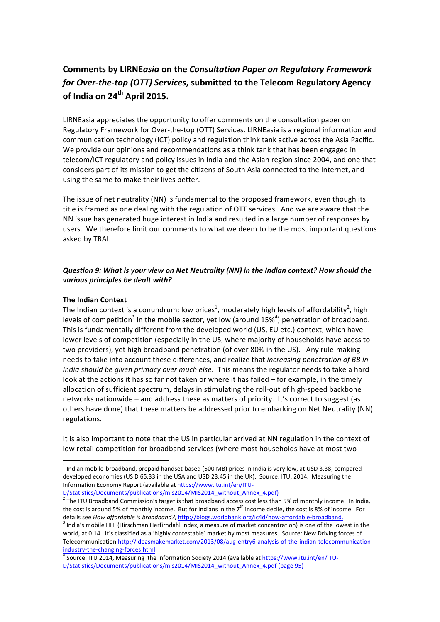# **Comments by LIRNE***asia* on the *Consultation Paper on Regulatory Framework for Over-the-top (OTT) Services*, submitted to the Telecom Regulatory Agency **of India on 24<sup>th</sup> April 2015.**

LIRNEasia appreciates the opportunity to offer comments on the consultation paper on Regulatory Framework for Over-the-top (OTT) Services. LIRNEasia is a regional information and communication technology (ICT) policy and regulation think tank active across the Asia Pacific. We provide our opinions and recommendations as a think tank that has been engaged in telecom/ICT regulatory and policy issues in India and the Asian region since 2004, and one that considers part of its mission to get the citizens of South Asia connected to the Internet, and using the same to make their lives better.

The issue of net neutrality (NN) is fundamental to the proposed framework, even though its title is framed as one dealing with the regulation of OTT services. And we are aware that the NN issue has generated huge interest in India and resulted in a large number of responses by users. We therefore limit our comments to what we deem to be the most important questions asked by TRAI.

## *Question 9: What is your view on Net Neutrality (NN) in the Indian context? How should the* various principles be dealt with?

### **The Indian Context**

The Indian context is a conundrum: low prices<sup>1</sup>, moderately high levels of affordability<sup>2</sup>, high levels of competition<sup>3</sup> in the mobile sector, yet low (around 15%<sup>4</sup>) penetration of broadband. This is fundamentally different from the developed world (US, EU etc.) context, which have lower levels of competition (especially in the US, where majority of households have acess to two providers), yet high broadband penetration (of over 80% in the US). Any rule-making needs to take into account these differences, and realize that *increasing penetration of BB in India should be given primacy over much else*. This means the regulator needs to take a hard look at the actions it has so far not taken or where it has failed - for example, in the timely allocation of sufficient spectrum, delays in stimulating the roll-out of high-speed backbone networks nationwide - and address these as matters of priority. It's correct to suggest (as others have done) that these matters be addressed prior to embarking on Net Neutrality (NN) regulations. 

It is also important to note that the US in particular arrived at NN regulation in the context of low retail competition for broadband services (where most households have at most two

 $<sup>1</sup>$  Indian mobile-broadband, prepaid handset-based (500 MB) prices in India is very low, at USD 3.38, compared</sup> developed economies (US D 65.33 in the USA and USD 23.45 in the UK). Source: ITU, 2014. Measuring the Information Economy Report (available at https://www.itu.int/en/ITU-

 $\frac{D/Statistics/Documents/publications/mis2014/MIS2014_without_Annex_4.pdf}{P}$ <br>The ITU Broadband Commission's target is that broadband access cost less than 5% of monthly income. In India, the cost is around 5% of monthly income. But for Indians in the  $7<sup>th</sup>$  income decile, the cost is 8% of income. For details see *How affordable is broadband?*, http://blogs.worldbank.org/ic4d/how-affordable-broadband.<br><sup>3</sup> India's mobile HHI (Hirschman Herfirndahl Index, a measure of market concentration) is one of the lowest in the

world, at 0.14. It's classified as a 'highly contestable' market by most measures. Source: New Driving forces of Telecommunication http://ideasmakemarket.com/2013/08/aug-entry6-analysis-of-the-indian-telecommunication-

industry-the-changing-forces.html<br><sup>4</sup> Source: ITU 2014, Measuring the Information Society 2014 (available at https://www.itu.int/en/ITU-D/Statistics/Documents/publications/mis2014/MIS2014\_without\_Annex\_4.pdf (page 95)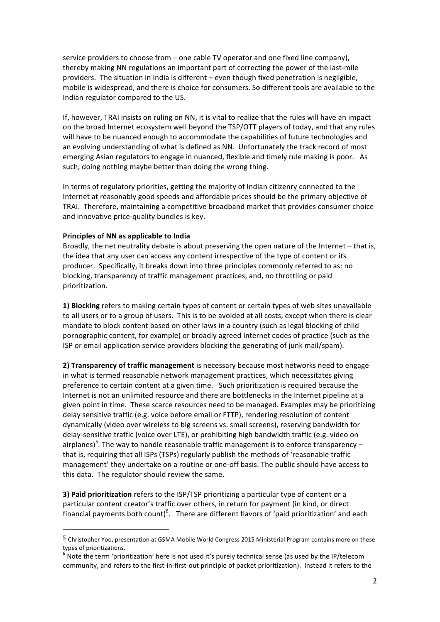service providers to choose from – one cable TV operator and one fixed line company), thereby making NN regulations an important part of correcting the power of the last-mile providers. The situation in India is different – even though fixed penetration is negligible, mobile is widespread, and there is choice for consumers. So different tools are available to the Indian regulator compared to the US.

If, however, TRAI insists on ruling on NN, it is vital to realize that the rules will have an impact on the broad Internet ecosystem well beyond the TSP/OTT players of today, and that any rules will have to be nuanced enough to accommodate the capabilities of future technologies and an evolving understanding of what is defined as NN. Unfortunately the track record of most emerging Asian regulators to engage in nuanced, flexible and timely rule making is poor. As such, doing nothing maybe better than doing the wrong thing.

In terms of regulatory priorities, getting the majority of Indian citizenry connected to the Internet at reasonably good speeds and affordable prices should be the primary objective of TRAI. Therefore, maintaining a competitive broadband market that provides consumer choice and innovative price-quality bundles is key.

### **Principles of NN as applicable to India**

 

Broadly, the net neutrality debate is about preserving the open nature of the Internet - that is, the idea that any user can access any content irrespective of the type of content or its producer. Specifically, it breaks down into three principles commonly referred to as: no blocking, transparency of traffic management practices, and, no throttling or paid prioritization. 

**1) Blocking** refers to making certain types of content or certain types of web sites unavailable to all users or to a group of users. This is to be avoided at all costs, except when there is clear mandate to block content based on other laws in a country (such as legal blocking of child pornographic content, for example) or broadly agreed Internet codes of practice (such as the ISP or email application service providers blocking the generating of junk mail/spam).

**2) Transparency of traffic management** is necessary because most networks need to engage in what is termed reasonable network management practices, which necessitates giving preference to certain content at a given time. Such prioritization is required because the Internet is not an unlimited resource and there are bottlenecks in the Internet pipeline at a given point in time. These scarce resources need to be managed. Examples may be prioritizing delay sensitive traffic (e.g. voice before email or FTTP), rendering resolution of content dynamically (video over wireless to big screens vs. small screens), reserving bandwidth for delay-sensitive traffic (voice over LTE), or prohibiting high bandwidth traffic (e.g. video on airplanes)<sup>5</sup>. The way to handle reasonable traffic management is to enforce transparency – that is, requiring that all ISPs (TSPs) regularly publish the methods of 'reasonable traffic management' they undertake on a routine or one-off basis. The public should have access to this data. The regulator should review the same.

**3) Paid prioritization** refers to the ISP/TSP prioritizing a particular type of content or a particular content creator's traffic over others, in return for payment (in kind, or direct financial payments both count)<sup>6</sup>. There are different flavors of 'paid prioritization' and each

<sup>&</sup>lt;sup>5</sup> Christopher Yoo, presentation at GSMA Mobile World Congress 2015 Ministerial Program contains more on these types of prioritizations.

 $^6$  Note the term 'prioritization' here is not used it's purely technical sense (as used by the IP/telecom community, and refers to the first-in-first-out principle of packet prioritization). Instead it refers to the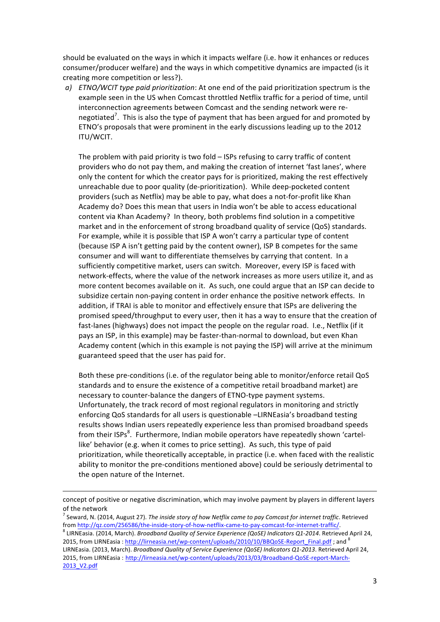should be evaluated on the ways in which it impacts welfare (i.e. how it enhances or reduces consumer/producer welfare) and the ways in which competitive dynamics are impacted (is it creating more competition or less?).

*a) ETNO/WCIT type paid prioritization*: At one end of the paid prioritization spectrum is the example seen in the US when Comcast throttled Netflix traffic for a period of time, until interconnection agreements between Comcast and the sending network were renegotiated<sup>7</sup>. This is also the type of payment that has been argued for and promoted by ETNO's proposals that were prominent in the early discussions leading up to the 2012 ITU/WCIT. 

The problem with paid priority is two fold  $-$  ISPs refusing to carry traffic of content providers who do not pay them, and making the creation of internet 'fast lanes', where only the content for which the creator pays for is prioritized, making the rest effectively unreachable due to poor quality (de-prioritization). While deep-pocketed content providers (such as Netflix) may be able to pay, what does a not-for-profit like Khan Academy do? Does this mean that users in India won't be able to access educational content via Khan Academy? In theory, both problems find solution in a competitive market and in the enforcement of strong broadband quality of service (QoS) standards. For example, while it is possible that ISP A won't carry a particular type of content (because ISP A isn't getting paid by the content owner), ISP B competes for the same consumer and will want to differentiate themselves by carrying that content. In a sufficiently competitive market, users can switch. Moreover, every ISP is faced with network-effects, where the value of the network increases as more users utilize it, and as more content becomes available on it. As such, one could argue that an ISP can decide to subsidize certain non-paying content in order enhance the positive network effects. In addition, if TRAI is able to monitor and effectively ensure that ISPs are delivering the promised speed/throughput to every user, then it has a way to ensure that the creation of fast-lanes (highways) does not impact the people on the regular road. I.e., Netflix (if it pays an ISP, in this example) may be faster-than-normal to download, but even Khan Academy content (which in this example is not paying the ISP) will arrive at the minimum guaranteed speed that the user has paid for.

Both these pre-conditions (i.e. of the regulator being able to monitor/enforce retail QoS standards and to ensure the existence of a competitive retail broadband market) are necessary to counter-balance the dangers of ETNO-type payment systems. Unfortunately, the track record of most regional regulators in monitoring and strictly enforcing QoS standards for all users is questionable -LIRNEasia's broadband testing results shows Indian users repeatedly experience less than promised broadband speeds from their ISPs<sup>8</sup>. Furthermore, Indian mobile operators have repeatedly shown 'cartellike' behavior (e.g. when it comes to price setting). As such, this type of paid prioritization, while theoretically acceptable, in practice (i.e. when faced with the realistic ability to monitor the pre-conditions mentioned above) could be seriously detrimental to the open nature of the Internet.

<sup>&</sup>lt;u> 1989 - Andrea Santa Andrea Andrea Andrea Andrea Andrea Andrea Andrea Andrea Andrea Andrea Andrea Andrea Andr</u> concept of positive or negative discrimination, which may involve payment by players in different layers of the network

Seward, N. (2014, August 27). The inside story of how Netflix came to pay Comcast for internet traffic. Retrieved from <u>http://qz.com/256586/the-inside-story-of-how-netflix-came-to-pay-comcast-for-internet-traffic/</u>.<br><sup>8</sup> LIRNEasia. (2014, March). *Broadband Quality of Service Experience (QoSE) Indicators Q1-2014*. Retrieved April 24,

<sup>2015,</sup> from LIRNEasia : http://lirneasia.net/wp-content/uploads/2010/10/BBQoSE-Report\_Final.pdf ; and <sup>8</sup>

LIRNEasia. (2013, March). *Broadband Quality of Service Experience (QoSE) Indicators Q1-2013*. Retrieved April 24, 2015, from LIRNEasia: http://lirneasia.net/wp-content/uploads/2013/03/Broadband-QoSE-report-March-2013\_V2.pdf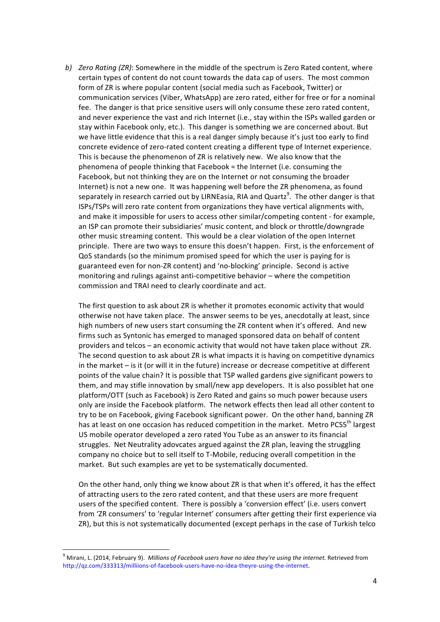*b) Zero Rating* (*ZR*): Somewhere in the middle of the spectrum is Zero Rated content, where certain types of content do not count towards the data cap of users. The most common form of ZR is where popular content (social media such as Facebook, Twitter) or communication services (Viber, WhatsApp) are zero rated, either for free or for a nominal fee. The danger is that price sensitive users will only consume these zero rated content, and never experience the vast and rich Internet (i.e., stay within the ISPs walled garden or stay within Facebook only, etc.). This danger is something we are concerned about. But we have little evidence that this is a real danger simply because it's just too early to find concrete evidence of zero-rated content creating a different type of Internet experience. This is because the phenomenon of ZR is relatively new. We also know that the phenomena of people thinking that Facebook = the Internet (i.e. consuming the Facebook, but not thinking they are on the Internet or not consuming the broader Internet) is not a new one. It was happening well before the ZR phenomena, as found separately in research carried out by LIRNEasia, RIA and Quartz $^9$ . The other danger is that ISPs/TSPs will zero rate content from organizations they have vertical alignments with, and make it impossible for users to access other similar/competing content - for example, an ISP can promote their subsidiaries' music content, and block or throttle/downgrade other music streaming content. This would be a clear violation of the open Internet principle. There are two ways to ensure this doesn't happen. First, is the enforcement of QoS standards (so the minimum promised speed for which the user is paying for is guaranteed even for non-ZR content) and 'no-blocking' principle. Second is active monitoring and rulings against anti-competitive behavior – where the competition commission and TRAI need to clearly coordinate and act.

The first question to ask about ZR is whether it promotes economic activity that would otherwise not have taken place. The answer seems to be yes, anecdotally at least, since high numbers of new users start consuming the ZR content when it's offered. And new firms such as Syntonic has emerged to managed sponsored data on behalf of content providers and telcos – an economic activity that would not have taken place without ZR. The second question to ask about ZR is what impacts it is having on competitive dynamics in the market – is it (or will it in the future) increase or decrease competitive at different points of the value chain? It is possible that TSP walled gardens give significant powers to them, and may stifle innovation by small/new app developers. It is also possiblet hat one platform/OTT (such as Facebook) is Zero Rated and gains so much power because users only are inside the Facebook platform. The network effects then lead all other content to try to be on Facebook, giving Facebook significant power. On the other hand, banning ZR has at least on one occasion has reduced competition in the market. Metro PCS5<sup>th</sup> largest US mobile operator developed a zero rated You Tube as an answer to its financial struggles. Net Neutrality adovcates argued against the ZR plan, leaving the struggling company no choice but to sell itself to T-Mobile, reducing overall competition in the market. But such examples are yet to be systematically documented.

On the other hand, only thing we know about ZR is that when it's offered, it has the effect of attracting users to the zero rated content, and that these users are more frequent users of the specified content. There is possibly a 'conversion effect' (i.e. users convert from 'ZR consumers' to 'regular Internet' consumers after getting their first experience via ZR), but this is not systematically documented (except perhaps in the case of Turkish telco

 $9$  Mirani, L. (2014, February 9). *Millions of Facebook users have no idea they're using the internet.* Retrieved from http://qz.com/333313/milliions-of-facebook-users-have-no-idea-theyre-using-the-internet.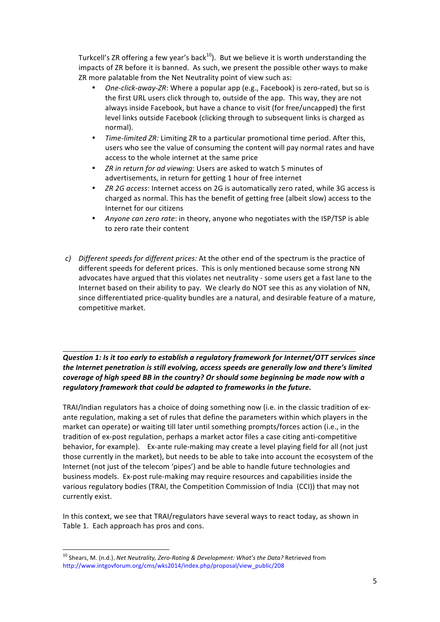Turkcell's ZR offering a few year's back<sup>10</sup>). But we believe it is worth understanding the impacts of ZR before it is banned. As such, we present the possible other ways to make ZR more palatable from the Net Neutrality point of view such as:

- One-click-away-ZR: Where a popular app (e.g., Facebook) is zero-rated, but so is the first URL users click through to, outside of the app. This way, they are not always inside Facebook, but have a chance to visit (for free/uncapped) the first level links outside Facebook (clicking through to subsequent links is charged as normal).
- *Time-limited ZR:* Limiting ZR to a particular promotional time period. After this, users who see the value of consuming the content will pay normal rates and have access to the whole internet at the same price
- *ZR* in return for ad viewing: Users are asked to watch 5 minutes of advertisements, in return for getting 1 hour of free internet
- *ZR 2G access*: Internet access on 2G is automatically zero rated, while 3G access is charged as normal. This has the benefit of getting free (albeit slow) access to the Internet for our citizens
- Anyone can zero rate: in theory, anyone who negotiates with the ISP/TSP is able to zero rate their content
- *c*) Different speeds for different prices: At the other end of the spectrum is the practice of different speeds for deferent prices. This is only mentioned because some strong NN advocates have argued that this violates net neutrality - some users get a fast lane to the Internet based on their ability to pay. We clearly do NOT see this as any violation of NN, since differentiated price-quality bundles are a natural, and desirable feature of a mature, competitive market.

*Question 1: Is it too early to establish a regulatory framework for Internet/OTT services since* the Internet penetration is still evolving, access speeds are generally low and there's limited *coverage of high speed BB in the country?* Or should some beginning be made now with a regulatory framework that could be adapted to frameworks in the future.

TRAI/Indian regulators has a choice of doing something now (i.e. in the classic tradition of exante regulation, making a set of rules that define the parameters within which players in the market can operate) or waiting till later until something prompts/forces action (i.e., in the tradition of ex-post regulation, perhaps a market actor files a case citing anti-competitive behavior, for example). Ex-ante rule-making may create a level playing field for all (not just those currently in the market), but needs to be able to take into account the ecosystem of the Internet (not just of the telecom 'pipes') and be able to handle future technologies and business models. Ex-post rule-making may require resources and capabilities inside the various regulatory bodies (TRAI, the Competition Commission of India (CCI)) that may not currently exist.

In this context, we see that TRAI/regulators have several ways to react today, as shown in Table 1. Each approach has pros and cons.

<sup>&</sup>lt;sup>10</sup> Shears, M. (n.d.). *Net Neutrality, Zero-Rating & Development: What's the Data?* Retrieved from http://www.intgovforum.org/cms/wks2014/index.php/proposal/view\_public/208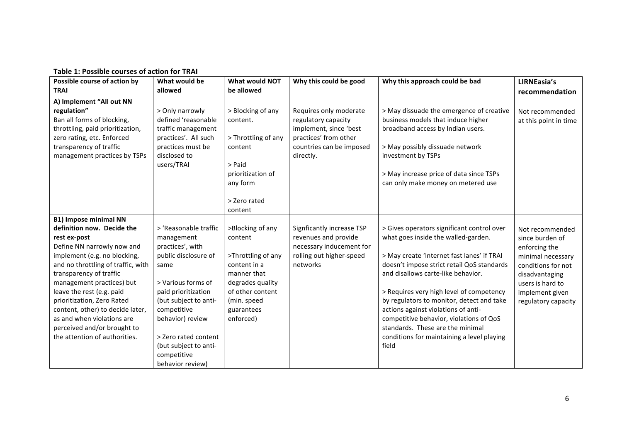| Table 1: Possible courses of action for TRAI |  |
|----------------------------------------------|--|
|----------------------------------------------|--|

| Possible course of action by                                                                                                                                                                                                                                                                                                                                                                                                        | What would be                                                                                                                                                                                                                                                                        | What would NOT                                                                                                                                                     | Why this could be good                                                                                                                    | Why this approach could be bad                                                                                                                                                                                                                                                                                                                                                                                                                                                            | LIRNEasia's                                                                                                                                                                    |
|-------------------------------------------------------------------------------------------------------------------------------------------------------------------------------------------------------------------------------------------------------------------------------------------------------------------------------------------------------------------------------------------------------------------------------------|--------------------------------------------------------------------------------------------------------------------------------------------------------------------------------------------------------------------------------------------------------------------------------------|--------------------------------------------------------------------------------------------------------------------------------------------------------------------|-------------------------------------------------------------------------------------------------------------------------------------------|-------------------------------------------------------------------------------------------------------------------------------------------------------------------------------------------------------------------------------------------------------------------------------------------------------------------------------------------------------------------------------------------------------------------------------------------------------------------------------------------|--------------------------------------------------------------------------------------------------------------------------------------------------------------------------------|
| <b>TRAI</b>                                                                                                                                                                                                                                                                                                                                                                                                                         | allowed                                                                                                                                                                                                                                                                              | be allowed                                                                                                                                                         |                                                                                                                                           |                                                                                                                                                                                                                                                                                                                                                                                                                                                                                           | recommendation                                                                                                                                                                 |
| A) Implement "All out NN<br>regulation"<br>Ban all forms of blocking,<br>throttling, paid prioritization,<br>zero rating, etc. Enforced<br>transparency of traffic<br>management practices by TSPs                                                                                                                                                                                                                                  | > Only narrowly<br>defined 'reasonable<br>traffic management<br>practices'. All such<br>practices must be<br>disclosed to<br>users/TRAI                                                                                                                                              | > Blocking of any<br>content.<br>> Throttling of any<br>content<br>> Paid<br>prioritization of<br>any form<br>> Zero rated<br>content                              | Requires only moderate<br>regulatory capacity<br>implement, since 'best<br>practices' from other<br>countries can be imposed<br>directly. | > May dissuade the emergence of creative<br>business models that induce higher<br>broadband access by Indian users.<br>> May possibly dissuade network<br>investment by TSPs<br>> May increase price of data since TSPs<br>can only make money on metered use                                                                                                                                                                                                                             | Not recommended<br>at this point in time                                                                                                                                       |
| <b>B1) Impose minimal NN</b><br>definition now. Decide the<br>rest ex-post<br>Define NN narrowly now and<br>implement (e.g. no blocking,<br>and no throttling of traffic, with<br>transparency of traffic<br>management practices) but<br>leave the rest (e.g. paid<br>prioritization, Zero Rated<br>content, other) to decide later,<br>as and when violations are<br>perceived and/or brought to<br>the attention of authorities. | > 'Reasonable traffic<br>management<br>practices', with<br>public disclosure of<br>same<br>> Various forms of<br>paid prioritization<br>(but subject to anti-<br>competitive<br>behavior) review<br>> Zero rated content<br>(but subject to anti-<br>competitive<br>behavior review) | >Blocking of any<br>content<br>>Throttling of any<br>content in a<br>manner that<br>degrades quality<br>of other content<br>(min. speed<br>guarantees<br>enforced) | Signficantly increase TSP<br>revenues and provide<br>necessary inducement for<br>rolling out higher-speed<br>networks                     | > Gives operators significant control over<br>what goes inside the walled-garden.<br>> May create 'Internet fast lanes' if TRAI<br>doesn't impose strict retail QoS standards<br>and disallows carte-like behavior.<br>> Requires very high level of competency<br>by regulators to monitor, detect and take<br>actions against violations of anti-<br>competitive behavior, violations of QoS<br>standards. These are the minimal<br>conditions for maintaining a level playing<br>field | Not recommended<br>since burden of<br>enforcing the<br>minimal necessary<br>conditions for not<br>disadvantaging<br>users is hard to<br>implement given<br>regulatory capacity |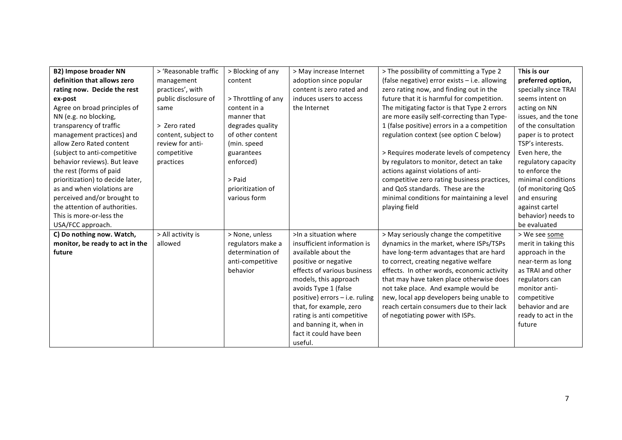| <b>B2) Impose broader NN</b>     | > 'Reasonable traffic | > Blocking of any   | > May increase Internet        | > The possibility of committing a Type 2      | This is our          |
|----------------------------------|-----------------------|---------------------|--------------------------------|-----------------------------------------------|----------------------|
| definition that allows zero      | management            | content             | adoption since popular         | (false negative) error exists - i.e. allowing | preferred option,    |
| rating now. Decide the rest      | practices', with      |                     | content is zero rated and      | zero rating now, and finding out in the       | specially since TRAI |
| ex-post                          | public disclosure of  | > Throttling of any | induces users to access        | future that it is harmful for competition.    | seems intent on      |
| Agree on broad principles of     | same                  | content in a        | the Internet                   | The mitigating factor is that Type 2 errors   | acting on NN         |
| NN (e.g. no blocking,            |                       | manner that         |                                | are more easily self-correcting than Type-    | issues, and the tone |
| transparency of traffic          | > Zero rated          | degrades quality    |                                | 1 (false positive) errors in a a competition  | of the consultation  |
| management practices) and        | content, subject to   | of other content    |                                | regulation context (see option C below)       | paper is to protect  |
| allow Zero Rated content         | review for anti-      | (min. speed         |                                |                                               | TSP's interests.     |
| (subject to anti-competitive     | competitive           | guarantees          |                                | > Requires moderate levels of competency      | Even here, the       |
| behavior reviews). But leave     | practices             | enforced)           |                                | by regulators to monitor, detect an take      | regulatory capacity  |
| the rest (forms of paid          |                       |                     |                                | actions against violations of anti-           | to enforce the       |
| prioritization) to decide later, |                       | > Paid              |                                | competitive zero rating business practices,   | minimal conditions   |
| as and when violations are       |                       | prioritization of   |                                | and QoS standards. These are the              | (of monitoring QoS   |
| perceived and/or brought to      |                       | various form        |                                | minimal conditions for maintaining a level    | and ensuring         |
| the attention of authorities.    |                       |                     |                                | playing field                                 | against cartel       |
| This is more-or-less the         |                       |                     |                                |                                               | behavior) needs to   |
| USA/FCC approach.                |                       |                     |                                |                                               | be evaluated         |
| C) Do nothing now. Watch,        | > All activity is     | > None, unless      | >In a situation where          | > May seriously change the competitive        | > We see some        |
| monitor, be ready to act in the  | allowed               | regulators make a   | insufficient information is    | dynamics in the market, where ISPs/TSPs       | merit in taking this |
| future                           |                       | determination of    | available about the            | have long-term advantages that are hard       | approach in the      |
|                                  |                       | anti-competitive    | positive or negative           | to correct, creating negative welfare         | near-term as long    |
|                                  |                       | behavior            | effects of various business    | effects. In other words, economic activity    | as TRAI and other    |
|                                  |                       |                     | models, this approach          | that may have taken place otherwise does      | regulators can       |
|                                  |                       |                     | avoids Type 1 (false           | not take place. And example would be          | monitor anti-        |
|                                  |                       |                     | positive) errors - i.e. ruling | new, local app developers being unable to     | competitive          |
|                                  |                       |                     | that, for example, zero        | reach certain consumers due to their lack     | behavior and are     |
|                                  |                       |                     | rating is anti competitive     | of negotiating power with ISPs.               | ready to act in the  |
|                                  |                       |                     | and banning it, when in        |                                               | future               |
|                                  |                       |                     | fact it could have been        |                                               |                      |
|                                  |                       |                     | useful.                        |                                               |                      |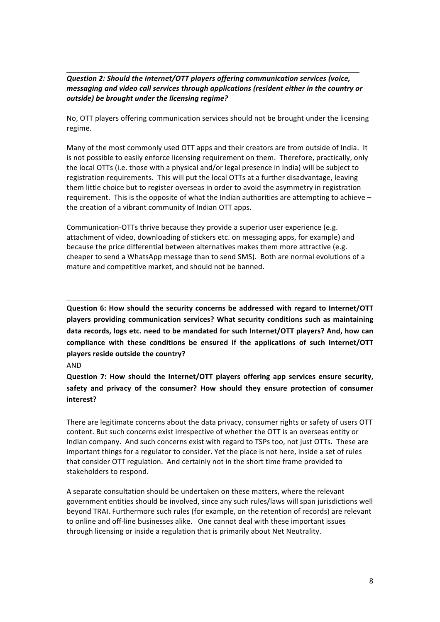*Question 2: Should the Internet/OTT players offering communication services (voice, messaging and video call services through applications (resident either in the country or* outside) be brought under the licensing regime?

No, OTT players offering communication services should not be brought under the licensing regime. 

Many of the most commonly used OTT apps and their creators are from outside of India. It is not possible to easily enforce licensing requirement on them. Therefore, practically, only the local OTTs (i.e. those with a physical and/or legal presence in India) will be subject to registration requirements. This will put the local OTTs at a further disadvantage, leaving them little choice but to register overseas in order to avoid the asymmetry in registration requirement. This is the opposite of what the Indian authorities are attempting to achieve  $$ the creation of a vibrant community of Indian OTT apps.

Communication-OTTs thrive because they provide a superior user experience (e.g. attachment of video, downloading of stickers etc. on messaging apps, for example) and because the price differential between alternatives makes them more attractive (e.g. cheaper to send a WhatsApp message than to send SMS). Both are normal evolutions of a mature and competitive market, and should not be banned.

**Question 6: How should the security concerns be addressed with regard to Internet/OTT** players providing communication services? What security conditions such as maintaining data records, logs etc. need to be mandated for such Internet/OTT players? And, how can compliance with these conditions be ensured if the applications of such Internet/OTT **players reside outside the country?** 

AND

**Question 7: How should the Internet/OTT players offering app services ensure security,** safety and privacy of the consumer? How should they ensure protection of consumer **interest?**

There are legitimate concerns about the data privacy, consumer rights or safety of users OTT content. But such concerns exist irrespective of whether the OTT is an overseas entity or Indian company. And such concerns exist with regard to TSPs too, not just OTTs. These are important things for a regulator to consider. Yet the place is not here, inside a set of rules that consider OTT regulation. And certainly not in the short time frame provided to stakeholders to respond.

A separate consultation should be undertaken on these matters, where the relevant government entities should be involved, since any such rules/laws will span jurisdictions well beyond TRAI. Furthermore such rules (for example, on the retention of records) are relevant to online and off-line businesses alike. One cannot deal with these important issues through licensing or inside a regulation that is primarily about Net Neutrality.